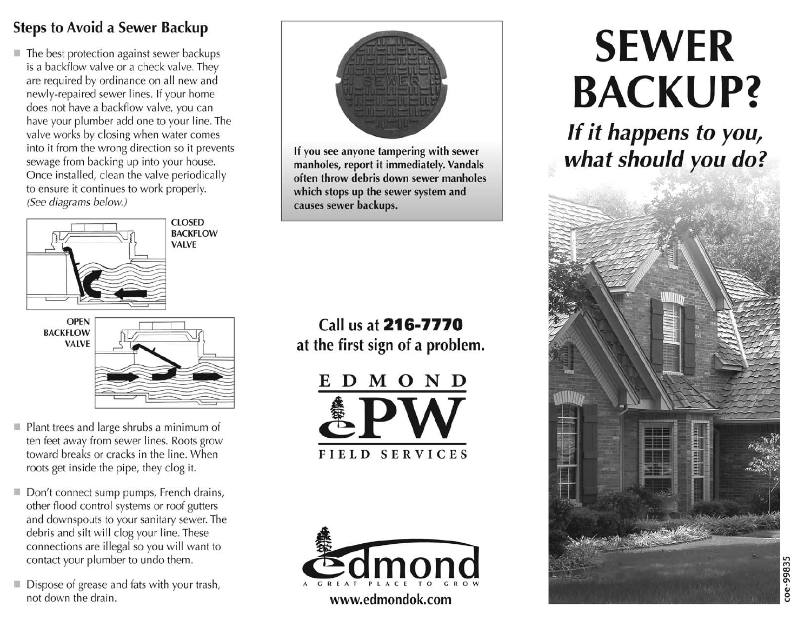## **Steps to Avoid a Sewer Backup**

The best protection against sewer backups is a backflow valve or a check valve. They are required by ordinance on all new and newly-repaired sewer lines. If your home does not have a backflow valve, you can have your plumber add one to your line. The valve works by closing when water comes into it from the wrong direction so it prevents sewage from backing up into your house. Once installed, clean the valve periodically to ensure it continues to work properly. (See diagrams below.)



- Plant trees and large shrubs a minimum of ten feet away from sewer lines. Roots grow toward breaks or cracks in the line. When roots get inside the pipe, they clog it.
- Don't connect sump pumps, French drains, other flood control systems or roof gutters and downspouts to your sanitary sewer. The debris and silt will clog your line. These connections are illegal so you will want to contact your plumber to undo them.
- Dispose of grease and fats with your trash, not down the drain.



If you see anyone tampering with sewer manholes, report it immediately. Vandals often throw debris down sewer manholes which stops up the sewer system and causes sewer backups.

## Call us at 216-7770 at the first sign of a problem.

D M O N D FIELD SERVICES



www.edmondok.com

# **SEWER BACKUP?**

If it happens to you, what should you do?